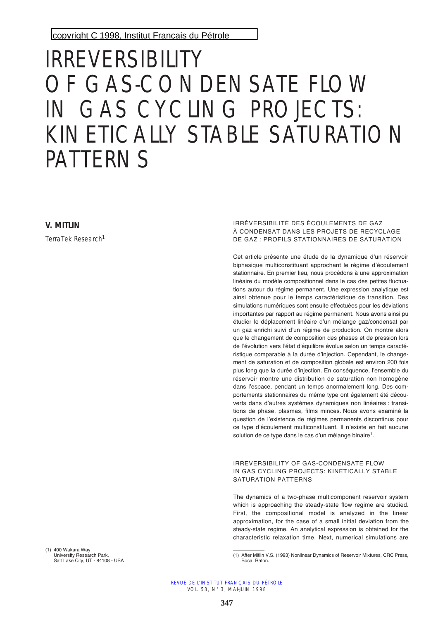copyright C 1998, [Institut Français du Pétrole](http://www.ifp.fr/)

# IRREVERSIBILITY OF GAS-CONDENSATE FLOW IN GAS CYCLING PROJECTS: KINETICALLY STABLE SATURATION PATTERNS

**V. MITLIN**

TerraTek Research<sup>1</sup>

IRRÉVERSIBILITÉ DES ÉCOULEMENTS DE GAZ À CONDENSAT DANS LES PROJETS DE RECYCLAGE DE GAZ : PROFILS STATIONNAIRES DE SATURATION

Cet article présente une étude de la dynamique d'un réservoir biphasique multiconstituant approchant le régime d'écoulement stationnaire. En premier lieu, nous procédons à une approximation linéaire du modèle compositionnel dans le cas des petites fluctuations autour du régime permanent. Une expression analytique est ainsi obtenue pour le temps caractéristique de transition. Des simulations numériques sont ensuite effectuées pour les déviations importantes par rapport au régime permanent. Nous avons ainsi pu étudier le déplacement linéaire d'un mélange gaz/condensat par un gaz enrichi suivi d'un régime de production. On montre alors que le changement de composition des phases et de pression lors de l'évolution vers l'état d'équilibre évolue selon un temps caractéristique comparable à la durée d'injection. Cependant, le changement de saturation et de composition globale est environ 200 fois plus long que la durée d'injection. En conséquence, l'ensemble du réservoir montre une distribution de saturation non homogène dans l'espace, pendant un temps anormalement long. Des comportements stationnaires du même type ont également été découverts dans d'autres systèmes dynamiques non linéaires : transitions de phase, plasmas, films minces. Nous avons examiné la question de l'existence de régimes permanents discontinus pour ce type d'écoulement multiconstituant. Il n'existe en fait aucune solution de ce type dans le cas d'un mélange binaire<sup>1</sup>.

IRREVERSIBILITY OF GAS-CONDENSATE FLOW IN GAS CYCLING PROJECTS: KINETICALLY STABLE SATURATION PATTERNS

The dynamics of a two-phase multicomponent reservoir system which is approaching the steady-state flow regime are studied. First, the compositional model is analyzed in the linear approximation, for the case of a small initial deviation from the steady-state regime. An analytical expression is obtained for the characteristic relaxation time. Next, numerical simulations are

(1) 400 Wakara Way, University Research Park, Salt Lake City, UT - 84108 - USA

<sup>(1)</sup> After Mitlin V.S. (1993) Nonlinear Dynamics of Reservoir Mixtures, CRC Press, Boca, Raton.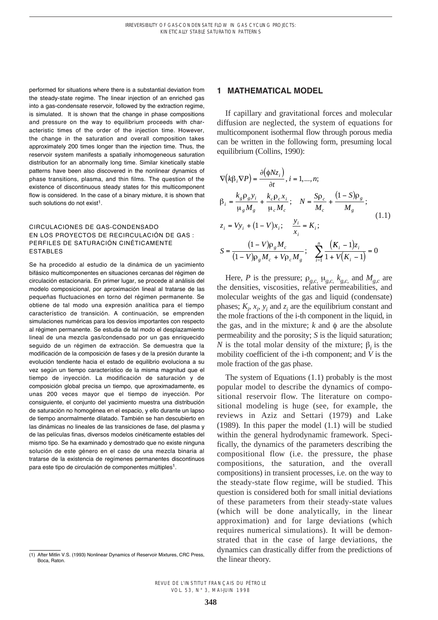performed for situations where there is a substantial deviation from the steady-state regime. The linear injection of an enriched gas into a gas-condensate reservoir, followed by the extraction regime, is simulated. It is shown that the change in phase compositions and pressure on the way to equilibrium proceeds with characteristic times of the order of the injection time. However, the change in the saturation and overall composition takes approximately 200 times longer than the injection time. Thus, the reservoir system manifests a spatially inhomogeneous saturation distribution for an abnormally long time. Similar kinetically stable patterns have been also discovered in the nonlinear dynamics of phase transitions, plasma, and thin films. The question of the existence of discontinuous steady states for this multicomponent flow is considered. In the case of a binary mixture, it is shown that such solutions do not exist $1$ .

#### CIRCULACIONES DE GAS-CONDENSADO EN LOS PROYECTOS DE RECIRCULACIÓN DE GAS : PERFILES DE SATURACIÓN CINÉTICAMENTE ESTABLES

Se ha procedido al estudio de la dinámica de un yacimiento bifásico multicomponentes en situaciones cercanas del régimen de circulación estacionaria. En primer lugar, se procede al análisis del modelo composicional, por aproximación lineal al tratarse de las pequeñas fluctuaciones en torno del régimen permanente. Se obtiene de tal modo una expresión analítica para el tiempo característico de transición. A continuación, se emprenden simulaciones numéricas para los desvíos importantes con respecto al régimen permanente. Se estudia de tal modo el desplazamiento lineal de una mezcla gas/condensado por un gas enriquecido seguido de un régimen de extracción. Se demuestra que la modificación de la composición de fases y de la presión durante la evolución tendiente hacia el estado de equilibrio evoluciona a su vez según un tiempo característico de la misma magnitud que el tiempo de inyección. La modificación de saturación y de composición global precisa un tiempo, que aproximadamente, es unas 200 veces mayor que el tiempo de inyección. Por consiguiente, el conjunto del yacimiento muestra una distribución de saturación no homogénea en el espacio, y ello durante un lapso de tiempo anormalmente dilatado. También se han descubierto en las dinámicas no lineales de las transiciones de fase, del plasma y de las películas finas, diversos modelos cinéticamente estables del mismo tipo. Se ha examinado y demostrado que no existe ninguna solución de este género en el caso de una mezcla binaria al tratarse de la existencia de regímenes permanentes discontinuos para este tipo de circulación de componentes múltiples<sup>1</sup>.

#### **1 MATHEMATICAL MODEL**

If capillary and gravitational forces and molecular diffusion are neglected, the system of equations for multicomponent isothermal flow through porous media can be written in the following form, presuming local equilibrium (Collins, 1990):

$$
\nabla (k\beta_i \nabla P) = \frac{\partial (\phi N z_i)}{\partial t}, i = 1, ..., n; \n\beta_i = \frac{k_g \rho_g y_i}{\mu_g M_g} + \frac{k_c \rho_c x_i}{\mu_c M_c}; \quad N = \frac{Sp_c}{M_c} + \frac{(1 - S)\rho_g}{M_g}; \nz_i = V y_i + (1 - V)x_i; \quad \frac{y_i}{x_i} = K_i; \nS = \frac{(1 - V)\rho_g M_c}{(1 - V)\rho_g M_c + V\rho_c M_g}; \quad \sum_{i=1}^n \frac{(K_i - 1)z_i}{1 + V(K_i - 1)} = 0
$$
\n(11.1)

Here, *P* is the pressure;  $\rho_{g,c}$ ,  $\mu_{g,c}$ ,  $k_{g,c}$ , and  $M_{g,c}$  are the densities, viscosities, relative permeabilities, and molecular weights of the gas and liquid (condensate) phases;  $K_i$ ,  $x_i$ ,  $y_i$  and  $z_i$  are the equilibrium constant and the mole fractions of the i-th component in the liquid, in the gas, and in the mixture;  $k$  and  $\phi$  are the absolute permeability and the porosity; *S* is the liquid saturation; *N* is the total molar density of the mixture;  $\beta$ , is the mobility coefficient of the i-th component; and *V* is the mole fraction of the gas phase.

The system of Equations (1.1) probably is the most popular model to describe the dynamics of compositional reservoir flow. The literature on compositional modeling is huge (see, for example, the reviews in Aziz and Settari (1979) and Lake (1989). In this paper the model (1.1) will be studied within the general hydrodynamic framework. Specifically, the dynamics of the parameters describing the compositional flow (i.e. the pressure, the phase compositions, the saturation, and the overall compositions) in transient processes, i.e. on the way to the steady-state flow regime, will be studied. This question is considered both for small initial deviations of these parameters from their steady-state values (which will be done analytically, in the linear approximation) and for large deviations (which requires numerical simulations). It will be demonstrated that in the case of large deviations, the dynamics can drastically differ from the predictions of the linear theory.

<sup>(1)</sup> After Mitlin V.S. (1993) Nonlinear Dynamics of Reservoir Mixtures, CRC Press, Boca, Raton.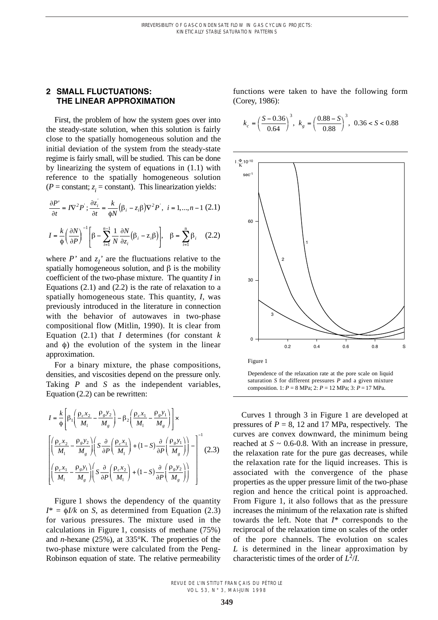## **2 SMALL FLUCTUATIONS: THE LINEAR APPROXIMATION**

First, the problem of how the system goes over into the steady-state solution, when this solution is fairly close to the spatially homogeneous solution and the initial deviation of the system from the steady-state regime is fairly small, will be studied. This can be done by linearizing the system of equations in (1.1) with reference to the spatially homogeneous solution  $(P = constant; z<sub>i</sub> = constant)$ . This linearization yields:

$$
\frac{\partial P'}{\partial t} = I\nabla^2 P'; \frac{\partial z'_i}{\partial t} = \frac{k}{\phi N} \left(\beta_i - z_i \beta\right) \nabla^2 P', \quad i = 1, ..., n-1 \tag{2.1}
$$

$$
I = \frac{k}{\phi} \left( \frac{\partial N}{\partial P} \right)^{-1} \left[ \beta - \sum_{i=1}^{n-1} \frac{1}{N} \frac{\partial N}{\partial z_i} (\beta_i - z_i \beta) \right], \quad \beta = \sum_{i=1}^{n} \beta_i \quad (2.2)
$$

where  $P'$  and  $z_1'$  are the fluctuations relative to the spatially homogeneous solution, and  $\beta$  is the mobility coefficient of the two-phase mixture. The quantity *I* in Equations  $(2.1)$  and  $(2.2)$  is the rate of relaxation to a spatially homogeneous state. This quantity, *I*, was previously introduced in the literature in connection with the behavior of autowaves in two-phase compositional flow (Mitlin, 1990). It is clear from Equation  $(2.1)$  that *I* determines (for constant *k* and  $\phi$ ) the evolution of the system in the linear approximation.

For a binary mixture, the phase compositions, densities, and viscosities depend on the pressure only. Taking *P* and *S* as the independent variables, Equation (2.2) can be rewritten:

$$
I = \frac{k}{\phi} \left[ \beta_1 \left( \frac{\rho_c x_2}{M_1} - \frac{\rho_g y_2}{M_g} \right) - \beta_2 \left( \frac{\rho_c x_1}{M_1} - \frac{\rho_g y_1}{M_g} \right) \right] \times
$$
  

$$
\left[ \left( \frac{\rho_c x_2}{M_1} - \frac{\rho_g y_2}{M_g} \right) \left( S \frac{\partial}{\partial P} \left( \frac{\rho_c x_1}{M_1} \right) + (1 - S) \frac{\partial}{\partial P} \left( \frac{\rho_g y_1}{M_g} \right) \right) - \left( \frac{\rho_c x_1}{M_1} - \frac{\rho_g y_1}{M_g} \right) \left( S \frac{\partial}{\partial P} \left( \frac{\rho_c x_2}{M_1} \right) + (1 - S) \frac{\partial}{\partial P} \left( \frac{\rho_g y_2}{M_g} \right) \right) \right]^{-1} (2.3)
$$

Figure 1 shows the dependency of the quantity  $I^* = \phi I/k$  on *S*, as determined from Equation (2.3) for various pressures. The mixture used in the calculations in Figure 1, consists of methane (75%) and *n*-hexane (25%), at 335°K. The properties of the two-phase mixture were calculated from the Peng-Robinson equation of state. The relative permeability

functions were taken to have the following form (Corey, 1986):

$$
k_c = \left(\frac{S - 0.36}{0.64}\right)^3, \ k_g = \left(\frac{0.88 - S}{0.88}\right)^3, \ 0.36 < S < 0.88
$$



Dependence of the relaxation rate at the pore scale on liquid saturation *S* for different pressures *P* and a given mixture composition. 1: *P* = 8 MPa; 2: *P* = 12 MPa; 3: *P* = 17 MPa.

Curves 1 through 3 in Figure 1 are developed at pressures of  $P = 8$ , 12 and 17 MPa, respectively. The curves are convex downward, the minimum being reached at  $S \sim 0.6$ -0.8. With an increase in pressure, the relaxation rate for the pure gas decreases, while the relaxation rate for the liquid increases. This is associated with the convergence of the phase properties as the upper pressure limit of the two-phase region and hence the critical point is approached. From Figure 1, it also follows that as the pressure increases the minimum of the relaxation rate is shifted towards the left. Note that *I*\* corresponds to the reciprocal of the relaxation time on scales of the order of the pore channels. The evolution on scales *L* is determined in the linear approximation by characteristic times of the order of  $L^2/I$ .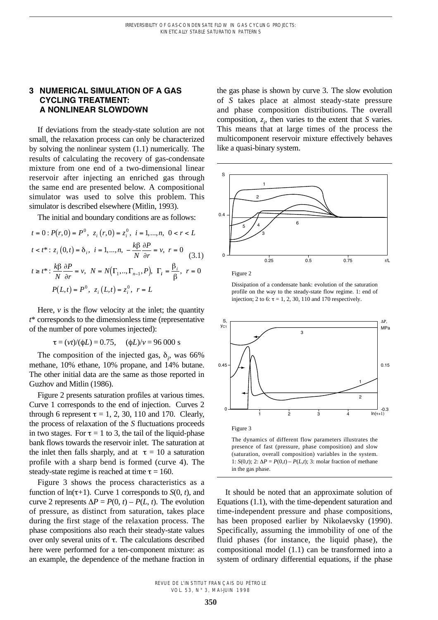## **3 NUMERICAL SIMULATION OF A GAS CYCLING TREATMENT: A NONLINEAR SLOWDOWN**

If deviations from the steady-state solution are not small, the relaxation process can only be characterized by solving the nonlinear system (1.1) numerically. The results of calculating the recovery of gas-condensate mixture from one end of a two-dimensional linear reservoir after injecting an enriched gas through the same end are presented below. A compositional simulator was used to solve this problem. This simulator is described elsewhere (Mitlin, 1993).

The initial and boundary conditions are as follows:

$$
t = 0: P(r, 0) = P^{0}, z_{i}(r, 0) = z_{i}^{0}, i = 1, ..., n, 0 < r < L
$$
  
\n
$$
t < t^{*}: z_{i}(0, t) = \delta_{i}, i = 1, ..., n, -\frac{k\beta}{N}\frac{\partial P}{\partial r} = v, r = 0
$$
  
\n
$$
t \ge t^{*}: \frac{k\beta}{N}\frac{\partial P}{\partial r} = v, N = N(\Gamma_{1}, ..., \Gamma_{n-1}, P), \Gamma_{i} = \frac{\beta_{i}}{\beta}, r = 0
$$
  
\n
$$
P(L, t) = P^{0}, z_{i}(L, t) = z_{i}^{0}, r = L
$$

Here,  $\nu$  is the flow velocity at the inlet; the quantity *t*\* corresponds to the dimensionless time (representative of the number of pore volumes injected):

$$
\tau = (vt)/(\phi L) = 0.75
$$
,  $(\phi L)/v = 96\,000$  s

The composition of the injected gas,  $\delta_i$ , was 66% methane, 10% ethane, 10% propane, and 14% butane. The other initial data are the same as those reported in Guzhov and Mitlin (1986).

Figure 2 presents saturation profiles at various times. Curve 1 corresponds to the end of injection. Curves 2 through 6 represent  $\tau = 1, 2, 30, 110$  and 170. Clearly, the process of relaxation of the *S* fluctuations proceeds in two stages. For  $\tau = 1$  to 3, the tail of the liquid-phase bank flows towards the reservoir inlet. The saturation at the inlet then falls sharply, and at  $\tau = 10$  a saturation profile with a sharp bend is formed (curve 4). The steady-state regime is reached at time  $\tau = 160$ .

Figure 3 shows the process characteristics as a function of  $ln(\tau+1)$ . Curve 1 corresponds to *S*(0, *t*), and curve 2 represents  $\Delta P = P(0, t) - P(L, t)$ . The evolution of pressure, as distinct from saturation, takes place during the first stage of the relaxation process. The phase compositions also reach their steady-state values over only several units of  $\tau$ . The calculations described here were performed for a ten-component mixture: as an example, the dependence of the methane fraction in

the gas phase is shown by curve 3. The slow evolution of *S* takes place at almost steady-state pressure and phase composition distributions. The overall composition,  $z_i$ , then varies to the extent that *S* varies. This means that at large times of the process the multicomponent reservoir mixture effectively behaves like a quasi-binary system.





Dissipation of a condensate bank: evolution of the saturation profile on the way to the steady-state flow regime. 1: end of injection; 2 to 6:  $\tau$  = 1, 2, 30, 110 and 170 respectively.



(saturation, overall composition) variables in the system. 1: *S*(0,*t*); 2:  $\Delta P = P(0,t) - P(L,t)$ ; 3: molar fraction of methane in the gas phase.

It should be noted that an approximate solution of Equations (1.1), with the time-dependent saturation and time-independent pressure and phase compositions, has been proposed earlier by Nikolaevsky (1990). Specifically, assuming the immobility of one of the fluid phases (for instance, the liquid phase), the compositional model (1.1) can be transformed into a system of ordinary differential equations, if the phase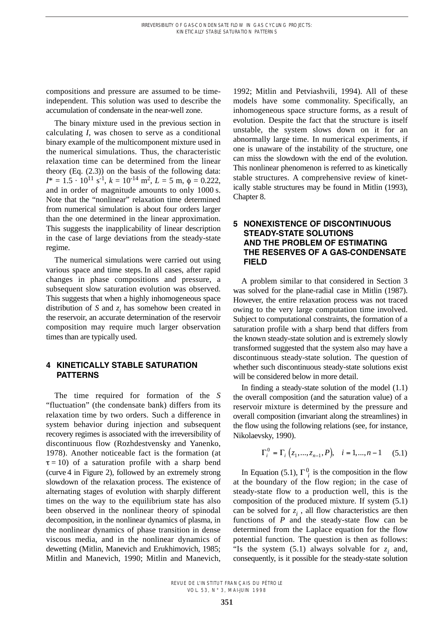compositions and pressure are assumed to be timeindependent. This solution was used to describe the accumulation of condensate in the near-well zone.

The binary mixture used in the previous section in calculating *I*, was chosen to serve as a conditional binary example of the multicomponent mixture used in the numerical simulations. Thus, the characteristic relaxation time can be determined from the linear theory (Eq. (2.3)) on the basis of the following data:  $I^* = 1.5 \cdot 10^{11} \text{ s}^{-1}$ ,  $k = 10^{-14} \text{ m}^2$ ,  $L = 5 \text{ m}$ ,  $\phi = 0.222$ , and in order of magnitude amounts to only 1000 s. Note that the "nonlinear" relaxation time determined from numerical simulation is about four orders larger than the one determined in the linear approximation. This suggests the inapplicability of linear description in the case of large deviations from the steady-state regime.

The numerical simulations were carried out using various space and time steps. In all cases, after rapid changes in phase compositions and pressure, a subsequent slow saturation evolution was observed. This suggests that when a highly inhomogeneous space distribution of *S* and  $z_i$  has somehow been created in the reservoir, an accurate determination of the reservoir composition may require much larger observation times than are typically used.

## **4 KINETICALLY STABLE SATURATION PATTERNS**

The time required for formation of the *S* "fluctuation" (the condensate bank) differs from its relaxation time by two orders. Such a difference in system behavior during injection and subsequent recovery regimes is associated with the irreversibility of discontinuous flow (Rozhdestvensky and Yanenko, 1978). Another noticeable fact is the formation (at  $\tau = 10$ ) of a saturation profile with a sharp bend (curve 4 in Figure 2), followed by an extremely strong slowdown of the relaxation process. The existence of alternating stages of evolution with sharply different times on the way to the equilibrium state has also been observed in the nonlinear theory of spinodal decomposition, in the nonlinear dynamics of plasma, in the nonlinear dynamics of phase transition in dense viscous media, and in the nonlinear dynamics of dewetting (Mitlin, Manevich and Erukhimovich, 1985; Mitlin and Manevich, 1990; Mitlin and Manevich,

1992; Mitlin and Petviashvili, 1994). All of these models have some commonality. Specifically, an inhomogeneous space structure forms, as a result of evolution. Despite the fact that the structure is itself unstable, the system slows down on it for an abnormally large time. In numerical experiments, if one is unaware of the instability of the structure, one can miss the slowdown with the end of the evolution. This nonlinear phenomenon is referred to as kinetically stable structures. A comprehensive review of kinetically stable structures may be found in Mitlin (1993), Chapter 8.

# **5 NONEXISTENCE OF DISCONTINUOUS STEADY-STATE SOLUTIONS AND THE PROBLEM OF ESTIMATING THE RESERVES OF A GAS-CONDENSATE FIELD**

A problem similar to that considered in Section 3 was solved for the plane-radial case in Mitlin (1987). However, the entire relaxation process was not traced owing to the very large computation time involved. Subject to computational constraints, the formation of a saturation profile with a sharp bend that differs from the known steady-state solution and is extremely slowly transformed suggested that the system also may have a discontinuous steady-state solution. The question of whether such discontinuous steady-state solutions exist will be considered below in more detail.

In finding a steady-state solution of the model (1.1) the overall composition (and the saturation value) of a reservoir mixture is determined by the pressure and overall composition (invariant along the streamlines) in the flow using the following relations (see, for instance, Nikolaevsky, 1990).

$$
\Gamma_i^0 = \Gamma_i (z_1, ..., z_{n-1}, P), \quad i = 1, ..., n-1 \quad (5.1)
$$

In Equation (5.1),  $\Gamma_i^0$  is the composition in the flow at the boundary of the flow region; in the case of steady-state flow to a production well, this is the composition of the produced mixture. If system (5.1) can be solved for  $z_i$ , all flow characteristics are then functions of *P* and the steady-state flow can be determined from the Laplace equation for the flow potential function. The question is then as follows: "Is the system  $(5.1)$  always solvable for  $z_i$  and, consequently, is it possible for the steady-state solution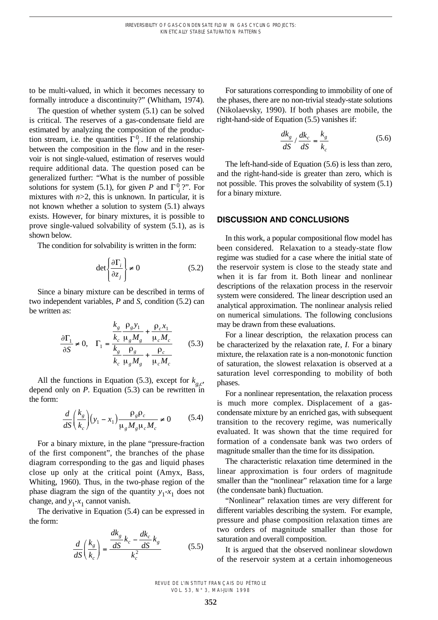to be multi-valued, in which it becomes necessary to formally introduce a discontinuity?" (Whitham, 1974).

The question of whether system (5.1) can be solved is critical. The reserves of a gas-condensate field are estimated by analyzing the composition of the production stream, i.e. the quantities  $\Gamma_i^0$ . If the relationship between the composition in the flow and in the reservoir is not single-valued, estimation of reserves would require additional data. The question posed can be generalized further: "What is the number of possible solutions for system (5.1), for given *P* and  $\Gamma^0_i$ ?". For mixtures with  $n>2$ , this is unknown. In particular, it is not known whether a solution to system (5.1) always exists. However, for binary mixtures, it is possible to prove single-valued solvability of system (5.1), as is shown below.

The condition for solvability is written in the form:

$$
\det \left\{ \frac{\partial \Gamma_i}{\partial z_j} \right\} \neq 0 \tag{5.2}
$$

Since a binary mixture can be described in terms of two independent variables, *P* and *S*, condition (5.2) can be written as:

$$
\frac{\partial \Gamma_1}{\partial S} \neq 0, \quad \Gamma_1 = \frac{\frac{k_g}{k_c} \frac{\rho_g y_1}{\mu_g M_g} + \frac{\rho_c x_1}{\mu_c M_c}}{\frac{k_g}{k_c} \frac{\rho_g}{\mu_g M_g} + \frac{\rho_c}{\mu_c M_c}}
$$
(5.3)

All the functions in Equation (5.3), except for  $k_{g,c}$ , depend only on  $P$ . Equation  $(5.3)$  can be rewritten in the form:

$$
\frac{d}{dS} \left( \frac{k_g}{k_c} \right) \left( y_1 - x_1 \right) \frac{\rho_g \rho_c}{\mu_g M_g \mu_c M_c} \neq 0 \tag{5.4}
$$

For a binary mixture, in the plane "pressure-fraction of the first component", the branches of the phase diagram corresponding to the gas and liquid phases close up only at the critical point (Amyx, Bass, Whiting, 1960). Thus, in the two-phase region of the phase diagram the sign of the quantity  $y_1 - x_1$  does not change, and  $y_1-x_1$  cannot vanish.

The derivative in Equation (5.4) can be expressed in the form:

$$
\frac{d}{dS}\left(\frac{k_g}{k_c}\right) = \frac{\frac{dk_g}{dS}k_c - \frac{dk_c}{dS}k_g}{k_c^2}
$$
\n(5.5)

For saturations corresponding to immobility of one of the phases, there are no non-trivial steady-state solutions (Nikolaevsky, 1990). If both phases are mobile, the right-hand-side of Equation (5.5) vanishes if:

$$
\frac{dk_g}{dS} / \frac{dk_c}{dS} = \frac{k_g}{k_c}
$$
 (5.6)

The left-hand-side of Equation (5.6) is less than zero, and the right-hand-side is greater than zero, which is not possible. This proves the solvability of system (5.1) for a binary mixture.

#### **DISCUSSION AND CONCLUSIONS**

In this work, a popular compositional flow model has been considered. Relaxation to a steady-state flow regime was studied for a case where the initial state of the reservoir system is close to the steady state and when it is far from it. Both linear and nonlinear descriptions of the relaxation process in the reservoir system were considered. The linear description used an analytical approximation. The nonlinear analysis relied on numerical simulations. The following conclusions may be drawn from these evaluations.

For a linear description, the relaxation process can be characterized by the relaxation rate, *I*. For a binary mixture, the relaxation rate is a non-monotonic function of saturation, the slowest relaxation is observed at a saturation level corresponding to mobility of both phases.

For a nonlinear representation, the relaxation process is much more complex. Displacement of a gascondensate mixture by an enriched gas, with subsequent transition to the recovery regime, was numerically evaluated. It was shown that the time required for formation of a condensate bank was two orders of magnitude smaller than the time for its dissipation.

The characteristic relaxation time determined in the linear approximation is four orders of magnitude smaller than the "nonlinear" relaxation time for a large (the condensate bank) fluctuation.

"Nonlinear" relaxation times are very different for different variables describing the system. For example, pressure and phase composition relaxation times are two orders of magnitude smaller than those for saturation and overall composition.

It is argued that the observed nonlinear slowdown of the reservoir system at a certain inhomogeneous